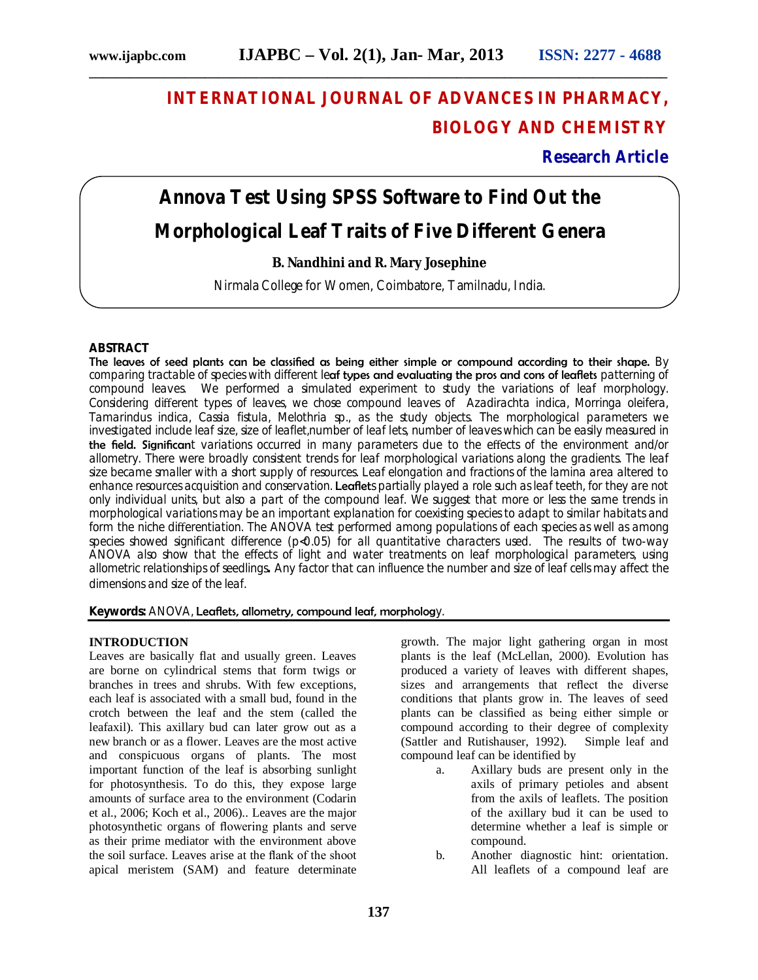## **INTERNATIONAL JOURNAL OF ADVANCES IN PHARMACY, BIOLOGY AND CHEMISTRY**

**Research Article**

# **Annova Test Using SPSS Software to Find Out the Morphological Leaf Traits of Five Different Genera**

**\_\_\_\_\_\_\_\_\_\_\_\_\_\_\_\_\_\_\_\_\_\_\_\_\_\_\_\_\_\_\_\_\_\_\_\_\_\_\_\_\_\_\_\_\_\_\_\_\_\_\_\_\_\_\_\_\_\_\_\_\_\_\_\_\_\_\_\_\_\_\_\_\_\_\_\_\_\_\_\_\_\_\_\_\_**

## **B. Nandhini and R. Mary Josephine**

Nirmala College for Women, Coimbatore, Tamilnadu, India.

### **ABSTRACT**

The leaves of seed plants can be classified as being either simple or compound according to their shape. By comparing tractable of species with different leaf types and evaluating the pros and cons of leaflets patterning of compound leaves. We performed a simulated experiment to study the variations of leaf morphology. Considering different types of leaves, we chose compound leaves of *Azadirachta indica, Morringa oleifera, Tamarindus indica, Cassia fistula, Melothria sp.,* as the study objects. The morphological parameters we investigated include leaf size, size of leaflet,number of leaf lets, number of leaves which can be easily measured in the field. Significant variations occurred in many parameters due to the effects of the environment and/or allometry. There were broadly consistent trends for leaf morphological variations along the gradients. The leaf size became smaller with a short supply of resources. Leaf elongation and fractions of the lamina area altered to enhance resources acquisition and conservation. Leaflets partially played a role such as leaf teeth, for they are not only individual units, but also a part of the compound leaf. We suggest that more or less the same trends in morphological variations may be an important explanation for coexisting species to adapt to similar habitats and form the niche differentiation. The ANOVA test performed among populations of each species as well as among species showed significant difference ( $p<0.05$ ) for all quantitative characters used. The results of two-way ANOVA also show that the effects of light and water treatments on leaf morphological parameters, using allometric relationships of seedlings**.** Any factor that can influence the number and size of leaf cells may affect the dimensions and size of the leaf.

**Keywords:** ANOVA, Leaflets, allometry, compound leaf, morphology.

#### **INTRODUCTION**

Leaves are basically flat and usually green. Leaves are borne on cylindrical stems that form twigs or branches in trees and shrubs. With few exceptions, each leaf is associated with a small bud, found in the crotch between the leaf and the stem (called the leafaxil). This axillary bud can later grow out as a new branch or as a flower. Leaves are the most active and conspicuous organs of plants. The most important function of the leaf is absorbing sunlight for photosynthesis. To do this, they expose large amounts of surface area to the environment (Codarin et al., 2006; Koch et al., 2006).. Leaves are the major photosynthetic organs of flowering plants and serve as their prime mediator with the environment above the soil surface. Leaves arise at the flank of the shoot apical meristem (SAM) and feature determinate

growth. The major light gathering organ in most plants is the leaf (McLellan, 2000). Evolution has produced a variety of leaves with different shapes, sizes and arrangements that reflect the diverse conditions that plants grow in. The leaves of seed plants can be classified as being either simple or compound according to their degree of complexity (Sattler and Rutishauser, 1992). Simple leaf and compound leaf can be identified by

- a. Axillary buds are present only in the axils of primary petioles and absent from the axils of leaflets. The position of the axillary bud it can be used to determine whether a leaf is simple or compound.
- b. Another diagnostic hint: orientation. All leaflets of a compound leaf are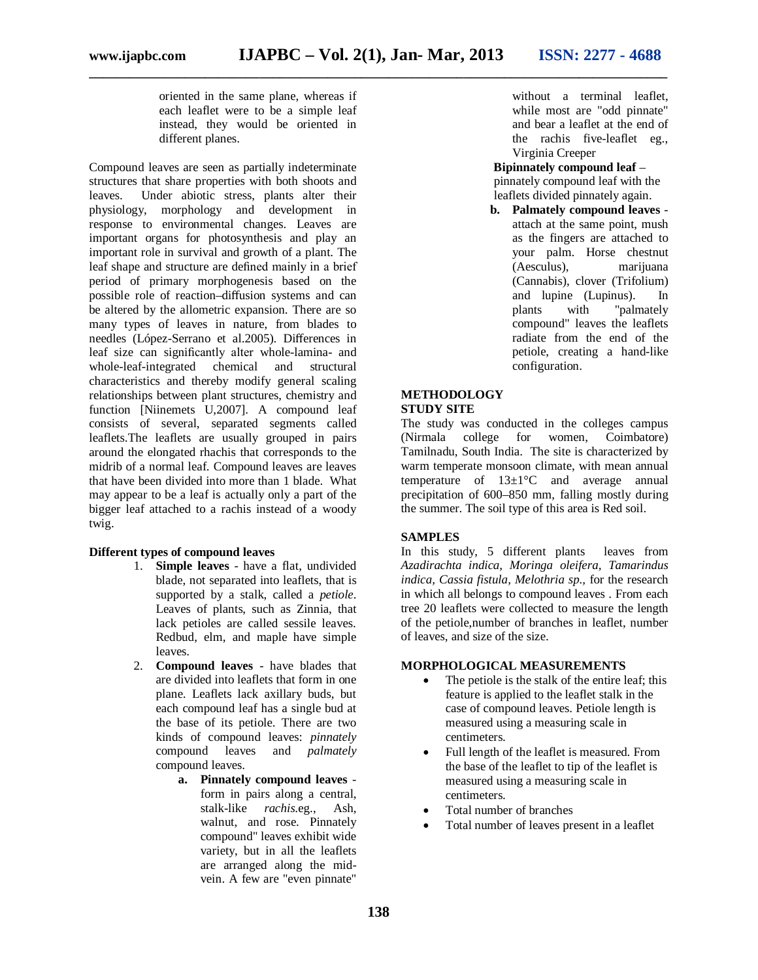oriented in the same plane, whereas if each leaflet were to be a simple leaf instead, they would be oriented in different planes.

Compound leaves are seen as partially indeterminate structures that share properties with both shoots and leaves. Under abiotic stress, plants alter their physiology, morphology and development in response to environmental changes. Leaves are important organs for photosynthesis and play an important role in survival and growth of a plant. The leaf shape and structure are defined mainly in a brief period of primary morphogenesis based on the possible role of reaction–diffusion systems and can be altered by the allometric expansion. There are so many types of leaves in nature, from blades to needles (López-Serrano et al.2005). Differences in leaf size can significantly alter whole-lamina- and whole-leaf-integrated chemical and structural characteristics and thereby modify general scaling relationships between plant structures, chemistry and function [Niinemets U,2007]. A compound leaf consists of several, separated segments called leaflets.The leaflets are usually grouped in pairs around the elongated rhachis that corresponds to the midrib of a normal leaf. Compound leaves are leaves that have been divided into more than 1 blade. What may appear to be a leaf is actually only a part of the bigger leaf attached to a rachis instead of a woody twig.

#### **Different types of compound leaves**

- 1. **Simple leaves** have a flat, undivided blade, not separated into leaflets, that is supported by a stalk, called a *petiole*. Leaves of plants, such as Zinnia, that lack petioles are called sessile leaves. Redbud, elm, and maple have simple leaves.
- 2. **Compound leaves**  have blades that are divided into leaflets that form in one plane. Leaflets lack axillary buds, but each compound leaf has a single bud at the base of its petiole. There are two kinds of compound leaves: *pinnately* compound leaves and *palmately* compound leaves.
	- **a. Pinnately compound leaves** form in pairs along a central, stalk-like *rachis*.eg., Ash, walnut, and rose. Pinnately compound" leaves exhibit wide variety, but in all the leaflets are arranged along the midvein. A few are "even pinnate"

without a terminal leaflet, while most are "odd pinnate" and bear a leaflet at the end of the rachis five-leaflet eg., Virginia Creeper

 **Bipinnately compound leaf** – pinnately compound leaf with the leaflets divided pinnately again.

**b. Palmately compound leaves** attach at the same point, mush as the fingers are attached to your palm. Horse chestnut (Aesculus), marijuana (Cannabis), clover (Trifolium) and lupine (Lupinus).In plants with "palmately compound" leaves the leaflets radiate from the end of the petiole, creating a hand-like configuration.

#### **METHODOLOGY STUDY SITE**

The study was conducted in the colleges campus (Nirmala college for women, Coimbatore) Tamilnadu, South India. The site is characterized by warm temperate monsoon climate, with mean annual temperature of  $13\pm1\degree C$  and average annual precipitation of 600–850 mm, falling mostly during the summer. The soil type of this area is Red soil.

#### **SAMPLES**

In this study, 5 different plants leaves from *Azadirachta indica, Moringa oleifera, Tamarindus indica, Cassia fistula, Melothria sp.,* for the research in which all belongs to compound leaves . From each tree 20 leaflets were collected to measure the length of the petiole,number of branches in leaflet, number of leaves, and size of the size.

#### **MORPHOLOGICAL MEASUREMENTS**

- The petiole is the stalk of the entire leaf; this feature is applied to the leaflet stalk in the case of compound leaves. Petiole length is measured using a measuring scale in centimeters.
- Full length of the leaflet is measured. From the base of the leaflet to tip of the leaflet is measured using a measuring scale in centimeters.
- Total number of branches
- Total number of leaves present in a leaflet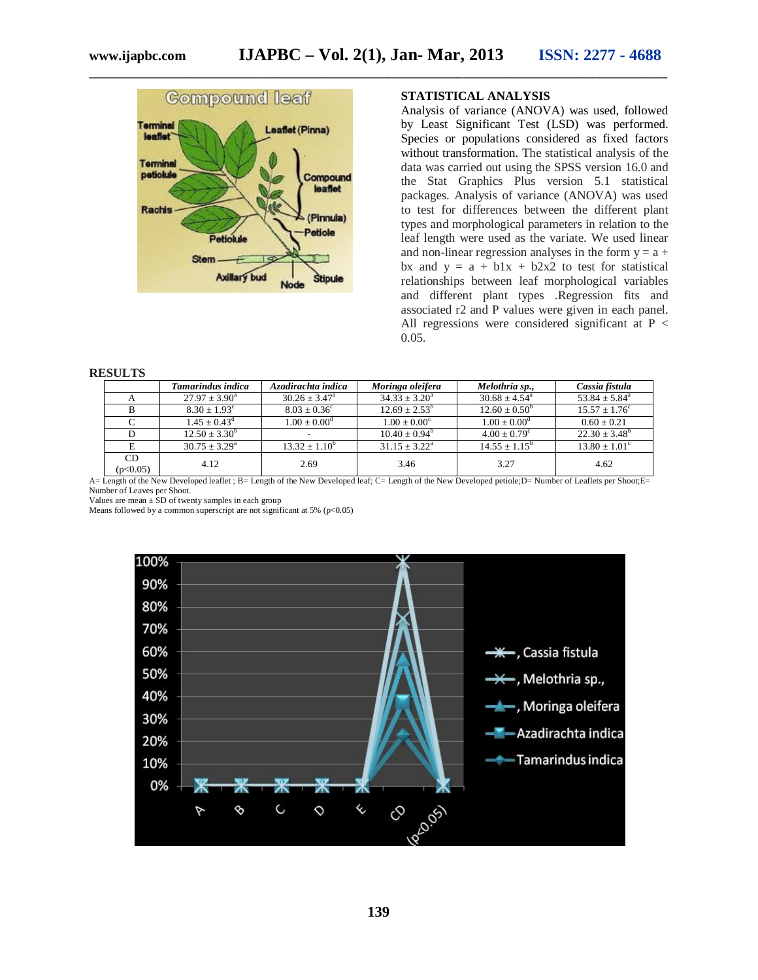

#### **STATISTICAL ANALYSIS**

Analysis of variance (ANOVA) was used, followed by Least Significant Test (LSD) was performed. Species or populations considered as fixed factors without transformation. The statistical analysis of the data was carried out using the SPSS version 16.0 and the Stat Graphics Plus version 5.1 statistical packages. Analysis of variance (ANOVA) was used to test for differences between the different plant types and morphological parameters in relation to the leaf length were used as the variate. We used linear and non-linear regression analyses in the form  $y = a +$ bx and  $y = a + b1x + b2x2$  to test for statistical relationships between leaf morphological variables and different plant types .Regression fits and associated r2 and P values were given in each panel. All regressions were considered significant at  $P <$ 0.05.

#### **RESULTS**

|                | Tamarindus indica        | Azadirachta indica       | Moringa oleifera         | Melothria sp.,                | Cassia fistula           |
|----------------|--------------------------|--------------------------|--------------------------|-------------------------------|--------------------------|
|                | $27.97 \pm 3.90^{\circ}$ | $30.26 \pm 3.47^{\circ}$ | $34.33 \pm 3.20^{\circ}$ | $30.68 \pm 4.54$ <sup>a</sup> | $53.84 \pm 5.84^{\circ}$ |
|                | $8.30 + 1.93^{\circ}$    | $8.03 \pm 0.36^{\circ}$  | $12.69 + 2.53^b$         | $12.60 \pm 0.50^{\circ}$      | $15.57 \pm 1.76^{\circ}$ |
|                | $1.45 \pm 0.43^{\rm d}$  | $1.00 \pm 0.00^{\rm d}$  | $1.00 + 0.00^{\circ}$    | $1.00 + 0.00^d$               | $0.60 + 0.21$            |
|                | $12.50 + 3.30^b$         |                          | $10.40 + 0.94^{\circ}$   | $4.00 + 0.79^{\circ}$         | $22.30 + 3.48^b$         |
| E              | $30.75 + 3.29^{\circ}$   | $13.32 + 1.10^b$         | $31.15 + 3.22^a$         | $14.55 + 1.15^b$              | $13.80 + 1.01^{\circ}$   |
| CD<br>(p<0.05) | 4.12                     | 2.69                     | 3.46                     | 3.27                          | 4.62                     |

A= Length of the New Developed leaflet ; B= Length of the New Developed leaf; C= Length of the New Developed petiole;D= Number of Leaflets per Shoot;E= Number of Leaves per Shoot.

Values are mean ± SD of twenty samples in each group Means followed by a common superscript are not significant at 5% (p<0.05)